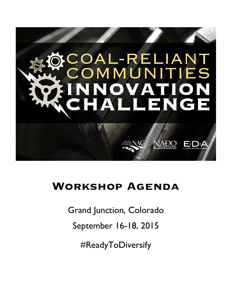

# **Workshop Agenda**

Grand Junction, Colorado

September 16-18, 2015

#ReadyToDiversify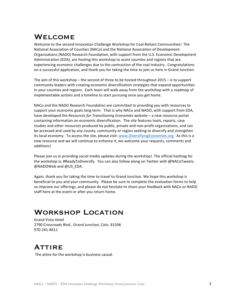## **WELCOME**

Welcome to the second Innovation Challenge Workshop for Coal-Reliant Communities! The National Association of Counties (NACo) and the National Association of Development Organizations (NADO) Research Foundation, with support from the U.S. Economic Development Administration (EDA), are hosting this workshop to assist counties and regions that are experiencing economic challenges due to the contraction of the coal industry. Congratulations on a successful application, and thank you for taking the time to join us here in Grand Junction.

The aim of this workshop – the second of three to be hosted throughout  $2015 -$  is to support community leaders with creating economic diversification strategies that expand opportunities in your counties and regions. Each team will walk away from the workshop with a roadmap of implementable actions and a timeline to start pursuing once you get home.

NACo and the NADO Research Foundation are committed to providing you with resources to support your economic goals long term. That is why NACo and NADO, with support from EDA, have developed the *Resources for Transitioning Economies* website - a new resource portal containing information on economic diversification. The site features tools, reports, case studies and other resources produced by public, private and non-profit organizations, and can be accessed and used by any county, community or region seeking to diversify and strengthen its local economy. To access the site, please visit: www.DiversifyingEconomies.org. As this is a new resource and we will continue to enhance it, we welcome your requests, comments and additions! 

Please join us in providing social media updates during the workshop! The official hashtag for the workshop is: #ReadyToDiversify. You can also follow along on Twitter with @NACoTweets, @NADOWeb and @US\_EDA.

Again, thank you for taking the time to travel to Grand Junction. We hope this workshop is beneficial to you and your community. Please be sure to complete the evaluation forms to help us improve our offerings, and please do not hesitate to share your feedback with NACo or NADO staff here at the event or after you return home.

## Workshop Location

Grand Vista Hotel 2790 Crossroads Blvd., Grand Junction, Colo. 81506 970-241-8411

## **ATTIRE**

The attire for the workshop is business casual.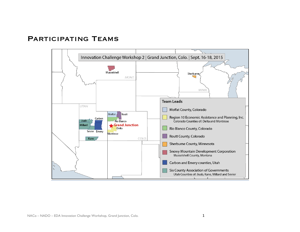## Participating Teams

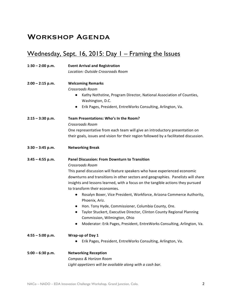## Workshop Agenda

## Wednesday, Sept. 16, 2015: Day I - Framing the Issues

| $1:30 - 2:00$ p.m. | <b>Event Arrival and Registration</b>                                                                            |  |  |  |  |
|--------------------|------------------------------------------------------------------------------------------------------------------|--|--|--|--|
|                    | Location: Outside Crossroads Room                                                                                |  |  |  |  |
| $2:00 - 2:15$ p.m. | <b>Welcoming Remarks</b>                                                                                         |  |  |  |  |
|                    | Crossroads Room                                                                                                  |  |  |  |  |
|                    | Kathy Nothstine, Program Director, National Association of Counties,<br>$\bullet$<br>Washington, D.C.            |  |  |  |  |
|                    | Erik Pages, President, EntreWorks Consulting, Arlington, Va.<br>$\bullet$                                        |  |  |  |  |
| $2:15 - 3:30$ p.m. | Team Presentations: Who's In the Room?                                                                           |  |  |  |  |
|                    | Crossroads Room                                                                                                  |  |  |  |  |
|                    | One representative from each team will give an introductory presentation on                                      |  |  |  |  |
|                    | their goals, issues and vision for their region followed by a facilitated discussion.                            |  |  |  |  |
| $3:30 - 3:45$ p.m. | <b>Networking Break</b>                                                                                          |  |  |  |  |
| $3:45 - 4:55$ p.m. | <b>Panel Discussion: From Downturn to Transition</b>                                                             |  |  |  |  |
|                    | <b>Crossroads Room</b>                                                                                           |  |  |  |  |
|                    | This panel discussion will feature speakers who have experienced economic                                        |  |  |  |  |
|                    | downturns and transitions in other sectors and geographies. Panelists will share                                 |  |  |  |  |
|                    | insights and lessons learned, with a focus on the tangible actions they pursued<br>to transform their economies. |  |  |  |  |
|                    | Rosalyn Boxer, Vice President, Workforce, Arizona Commerce Authority,<br>$\bullet$<br>Phoenix, Ariz.             |  |  |  |  |
|                    | Hon. Tony Hyde, Commissioner, Columbia County, Ore.<br>$\bullet$                                                 |  |  |  |  |
|                    | Taylor Stuckert, Executive Director, Clinton County Regional Planning<br>$\bullet$                               |  |  |  |  |
|                    | Commission, Wilmington, Ohio                                                                                     |  |  |  |  |
|                    | Moderator: Erik Pages, President, EntreWorks Consulting, Arlington, Va.<br>$\bullet$                             |  |  |  |  |
| $4:55 - 5:00$ p.m. | Wrap-up of Day 1                                                                                                 |  |  |  |  |
|                    | Erik Pages, President, EntreWorks Consulting, Arlington, Va.                                                     |  |  |  |  |
| $5:00 - 6:30 p.m.$ | <b>Networking Reception</b>                                                                                      |  |  |  |  |
|                    | Compass & Horizon Room                                                                                           |  |  |  |  |
|                    | Light appetizers will be available along with a cash bar.                                                        |  |  |  |  |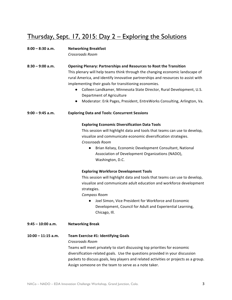## Thursday, Sept. 17, 2015: Day 2 – Exploring the Solutions

### 8:00 - 8:30 a.m. Networking Breakfast

*Crossroads Room*

**8:30 – 9:00 a.m. Opening Plenary: Partnerships and Resources to Root the Transition** This plenary will help teams think through the changing economic landscape of rural America, and identify innovative partnerships and resources to assist with implementing their goals for transitioning economies.

- Colleen Landkamer, Minnesota State Director, Rural Development, U.S. Department of Agriculture
- Moderator: Erik Pages, President, EntreWorks Consulting, Arlington, Va.

9:00 – 9:45 a.m. **Exploring Data and Tools: Concurrent Sessions** 

### **Exploring Economic Diversification Data Tools**

This session will highlight data and tools that teams can use to develop, visualize and communicate economic diversification strategies. *Crossroads Room*

● Brian Kelsey, Economic Development Consultant, National Association of Development Organizations (NADO), Washington, D.C.

### **Exploring Workforce Development Tools**

This session will highlight data and tools that teams can use to develop, visualize and communicate adult education and workforce development strategies. 

*Compass Room*

- Joel Simon, Vice President for Workforce and Economic Development, Council for Adult and Experiential Learning, Chicago, Ill.
- **9:45 – 10:00 a.m. Networking Break**

### **10:00 – 11:15 a.m. Team Exercise #1: Identifying Goals**

#### *Crossroads Room*

Teams will meet privately to start discussing top priorities for economic diversification-related goals. Use the questions provided in your discussion packets to discuss goals, key players and related activities or projects as a group. Assign someone on the team to serve as a note taker.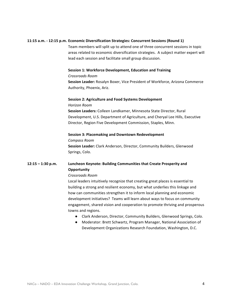#### **11:15 a.m. - 12:15 p.m. Economic Diversification Strategies: Concurrent Sessions (Round 1)**

Team members will split up to attend one of three concurrent sessions in topic areas related to economic diversification strategies. A subject matter expert will lead each session and facilitate small group discussion.

#### **Session 1: Workforce Development, Education and Training**

#### *Crossroads Room*

**Session Leader:** Rosalyn Boxer, Vice President of Workforce, Arizona Commerce Authority, Phoenix, Ariz.

### **Session 2: Agriculture and Food Systems Development**

*Horizon Room*

**Session Leaders:** Colleen Landkamer, Minnesota State Director, Rural Development, U.S. Department of Agriculture, and Cheryal Lee Hills, Executive Director, Region Five Development Commission, Staples, Minn.

#### **Session 3: Placemaking and Downtown Redevelopment**

*Compass Room* **Session Leader:** Clark Anderson, Director, Community Builders, Glenwood Springs, Colo.

### **12:15 – 1:30 p.m.** Luncheon Keynote: Building Communities that Create Prosperity and **Opportunity**

#### *Crossroads Room*

Local leaders intuitively recognize that creating great places is essential to building a strong and resilient economy, but what underlies this linkage and how can communities strengthen it to inform local planning and economic development initiatives? Teams will learn about ways to focus on community engagement, shared vision and cooperation to promote thriving and prosperous towns and regions.

- Clark Anderson, Director, Community Builders, Glenwood Springs, Colo.
- Moderator: Brett Schwartz, Program Manager, National Association of Development Organizations Research Foundation, Washington, D.C.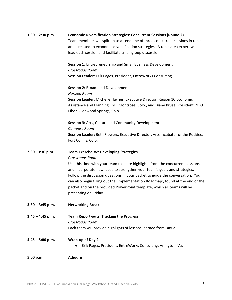| $1:30 - 2:30$ p.m. | <b>Economic Diversification Strategies: Concurrent Sessions (Round 2)</b>        |
|--------------------|----------------------------------------------------------------------------------|
|                    | Team members will split up to attend one of three concurrent sessions in topic   |
|                    | areas related to economic diversification strategies. A topic area expert will   |
|                    | lead each session and facilitate small group discussion.                         |
|                    | Session 1: Entrepreneurship and Small Business Development                       |
|                    | <b>Crossroads Room</b>                                                           |
|                    | Session Leader: Erik Pages, President, EntreWorks Consulting                     |
|                    | <b>Session 2: Broadband Development</b>                                          |
|                    | <b>Horizon Room</b>                                                              |
|                    | Session Leader: Michelle Haynes, Executive Director, Region 10 Economic          |
|                    | Assistance and Planning, Inc., Montrose, Colo., and Diane Kruse, President, NEO  |
|                    | Fiber, Glenwood Springs, Colo.                                                   |
|                    | Session 3: Arts, Culture and Community Development                               |
|                    | Compass Room                                                                     |
|                    | Session Leader: Beth Flowers, Executive Director, Arts Incubator of the Rockies, |
|                    | Fort Collins, Colo.                                                              |
| 2:30 - 3:30 p.m.   | <b>Team Exercise #2: Developing Strategies</b>                                   |
|                    | Crossroads Room                                                                  |
|                    | Use this time with your team to share highlights from the concurrent sessions    |
|                    | and incorporate new ideas to strengthen your team's goals and strategies.        |
|                    | Follow the discussion questions in your packet to guide the conversation. You    |
|                    | can also begin filling out the 'Implementation Roadmap', found at the end of the |
|                    | packet and on the provided PowerPoint template, which all teams will be          |
|                    | presenting on Friday.                                                            |
| $3:30 - 3:45$ p.m. | <b>Networking Break</b>                                                          |
| $3:45 - 4:45$ p.m. | <b>Team Report-outs: Tracking the Progress</b>                                   |
|                    | Crossroads Room                                                                  |
|                    | Each team will provide highlights of lessons learned from Day 2.                 |
| $4:45 - 5:00$ p.m. | Wrap-up of Day 2                                                                 |
|                    | Erik Pages, President, EntreWorks Consulting, Arlington, Va.                     |
| 5:00 p.m.          | Adjourn                                                                          |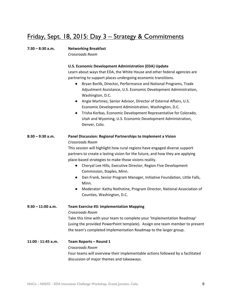## Friday, Sept. 18, 2015: Day 3 – Strategy & Commitments

## **7:30 - 8:30 a.m. Networking Breakfast**

*Crossroads Room*

### **U.S. Economic Development Administration (EDA) Update**

Learn about ways that EDA, the White House and other federal agencies are partnering to support places undergoing economic transitions.

- Bryan Borlik, Director, Performance and National Programs, Trade Adjustment Assistance, U.S. Economic Development Administration, Washington, D.C.
- Angie Martinez, Senior Advisor, Director of External Affairs, U.S. Economic Development Administration, Washington, D.C.
- **•** Trisha Korbas, Economic Development Representative for Colorado, Utah and Wyoming, U.S. Economic Development Administration, Denver, Colo.

## **8:30 – 9:30 a.m. Panel Discussion: Regional Partnerships to Implement a Vision** *Crossroads Room*

This session will highlight how rural regions have engaged diverse support partners to create a lasting vision for the future, and how they are applying place-based strategies to make those visions reality.

- Cheryal Lee Hills, Executive Director, Region Five Development Commission, Staples, Minn.
- Dan Frank, Senior Program Manager, Initiative Foundation, Little Falls, Minn.
- Moderator: Kathy Nothstine, Program Director, National Association of Counties, Washington, D.C.

**9:30 – 11:00 a.m. Team Exercise #3: Implementation Mapping** *Crossroads Room* Take this time with your team to complete your 'Implementation Roadmap' (using the provided PowerPoint template). Assign one team member to present the team's completed Implementation Roadmap to the larger group.

### **11:00 - 11:45 a.m. Team Reports – Round 1** *Crossroads Room* Four teams will overview their implementable actions followed by a facilitated discussion of major themes and takeaways.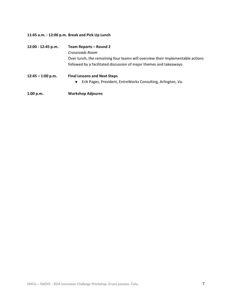### **11:45 a.m. - 12:00 p.m. Break and Pick Up Lunch**

| 12:00 - 12:45 p.m.  | Team Reports – Round 2                                                         |  |  |  |
|---------------------|--------------------------------------------------------------------------------|--|--|--|
|                     | Crossroads Room                                                                |  |  |  |
|                     | Over lunch, the remaining four teams will overview their implementable actions |  |  |  |
|                     | followed by a facilitated discussion of major themes and takeaways.            |  |  |  |
| $12:45 - 1:00$ p.m. | <b>Final Lessons and Next Steps</b>                                            |  |  |  |
|                     | Erik Pages, President, EntreWorks Consulting, Arlington, Va.<br>$\bullet$      |  |  |  |
| 1:00 p.m.           | <b>Workshop Adjourns</b>                                                       |  |  |  |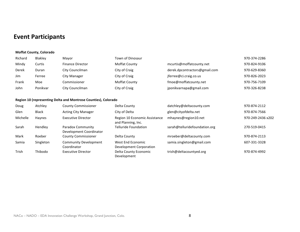## **Event Participants**

#### **Moffat County, Colorado**

| Richard | Blakley  | Mayor                   | <b>Town of Dinosaur</b> |                               | 970-374-2286 |
|---------|----------|-------------------------|-------------------------|-------------------------------|--------------|
| Mindy   | Curtis   | <b>Finance Director</b> | <b>Moffat County</b>    | mcurtis@moffatcounty.net      | 970-824-9106 |
| Derek   | Duran    | City Councilman         | City of Craig           | derek.dpcontractors@gmail.com | 970-629-8360 |
| Jim     | Ferree   | City Manager            | City of Craig           | jferree@ci.craig.co.us        | 970-826-2023 |
| Frank   | Moe      | Commissioner            | <b>Moffat County</b>    | fmoe@moffatcounty.net         | 970-756-7109 |
| John    | Ponikvar | City Councilman         | City of Craig           | jponikvarnapa@gmail.com       | 970-326-8238 |

#### **Region 10 (representing Delta and Montrose Counties), Colorado**

| Doug     | Atchley      | <b>County Commissioner</b>                   | Delta County                                        | datchley@deltacounty.com      | 970-874-2112      |
|----------|--------------|----------------------------------------------|-----------------------------------------------------|-------------------------------|-------------------|
| Glen     | <b>Black</b> | <b>Acting City Manager</b>                   | City of Delta                                       | glen@cityofdelta.net          | 970-874-7566      |
| Michelle | Haynes       | <b>Executive Director</b>                    | Region 10 Economic Assistance<br>and Planning, Inc. | mhaynes@region10.net          | 970-249-2436 x202 |
| Sarah    | Hendley      | Paradox Community<br>Development Coordinator | <b>Telluride Foundation</b>                         | sarah@telluridefoundation.org | 270-519-0415      |
| Mark     | Roeber       | <b>County Commissioner</b>                   | Delta County                                        | mroeber@deltacounty.com       | 970-874-2113      |
| Samia    | Singleton    | <b>Community Development</b><br>Coordinator  | West End Economic<br>Development Corporation        | samia.singleton@gmail.com     | 607-331-3328      |
| Trish    | Thibodo      | Executive Director                           | Delta County Economic<br>Development                | trish@deltacountyed.org       | 970-874-4992      |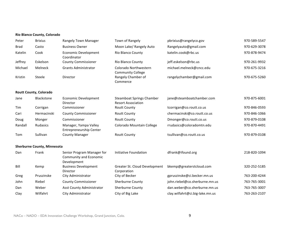#### **Rio Blanco County, Colorado**

| Peter   | <b>Brixius</b>                     | <b>Rangely Town Manager</b>                                         | Town of Rangely                                               | pbrixius@rangelyco.gov          | 970-589-5547 |
|---------|------------------------------------|---------------------------------------------------------------------|---------------------------------------------------------------|---------------------------------|--------------|
| Brad    | Casto                              | <b>Business Owner</b>                                               | Moon Lake/ Rangely Auto                                       | Rangelyauto@gmail.com           | 970-629-3078 |
| Katelin | Cook                               | <b>Economic Development</b><br>Coordinator                          | Rio Blanco County                                             | katelin.cook@rbc.us             | 970-878-9474 |
| Jeffrey | Eskelson                           | <b>County Commissioner</b>                                          | Rio Blanco County                                             | jeff.eskelson@rbc.us            | 970-261-9932 |
| Michael | Melneck                            | <b>Grants Administrator</b>                                         | Colorado Northwestern<br><b>Community College</b>             | michael.melneck@cncc.edu        | 970-675-3216 |
| Kristin | Steele                             | Director                                                            | Rangely Chamber of<br>Commerce                                | rangelychamber@gmail.com        | 970-675-5260 |
|         | <b>Routt County, Colorado</b>      |                                                                     |                                                               |                                 |              |
| Jane    | Blackstone                         | <b>Economic Development</b><br>Director                             | <b>Steamboat Springs Chamber</b><br><b>Resort Association</b> | jane@steamboatchamber.com       | 970-875-6001 |
| Tim     | Corrigan                           | Commissioner                                                        | <b>Routt County</b>                                           | tcorrigan@co.routt.co.us        | 970-846-0593 |
| Cari    | Hermacinski                        | <b>County Commissioner</b>                                          | <b>Routt County</b>                                           | chermacinski@co.routt.co.us     | 970-846-1066 |
| Doug    | Monger                             | Commissioner                                                        | <b>Routt County</b>                                           | Dmonger@co.routt.co.us          | 970-879-0108 |
| Randall | <b>Rudasics</b>                    | Manager, Yampa Valley<br><b>Entrepreneurship Center</b>             | Colorado Mountain College                                     | rrudasics@coloradomtn.edu       | 970-870-4491 |
| Tom     | Sullivan                           | <b>County Manager</b>                                               | <b>Routt County</b>                                           | tsullivan@co.routt.co.us        | 970-879-0108 |
|         | <b>Sherburne County, Minnesota</b> |                                                                     |                                                               |                                 |              |
| Dan     | Frank                              | Senior Program Manager for<br>Community and Economic<br>Development | Initiative Foundation                                         | dfrank@ifound.org               | 218-820-1094 |
| Bill    | Kemp                               | <b>Business Development</b><br>Director                             | Greater St. Cloud Development<br>Corporation                  | bkemp@greaterstcloud.com        | 320-252-5185 |
| Greg    | Pruszinske                         | City Administrator                                                  | City of Becker                                                | gpruszinske@ci.becker.mn.us     | 763-200-4244 |
| John    | Riebel                             | <b>County Commissioner</b>                                          | Sherburne County                                              | john.riebel@co.sherburne.mn.us  | 763-765-3001 |
| Dan     | Weber                              | Asst County Administrator                                           | Sherburne County                                              | dan.weber@co.sherburne.mn.us    | 763-765-3007 |
| Clay    | Wilfahrt                           | City Administrator                                                  | City of Big Lake                                              | clay.wilfahrt@ci.big-lake.mn.us | 763-263-2107 |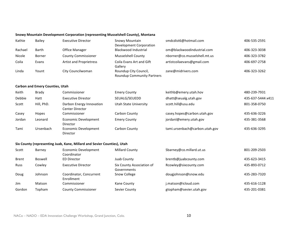#### **Snowy Mountain Development Corporation (representing Musselshell County), Montana**

| Kathie       | <b>Bailey</b>                          | <b>Executive Director</b>                                               | <b>Snowy Mountain</b><br><b>Development Corporation</b>    | smdcdist6@hotmail.com          | 406-535-2591      |
|--------------|----------------------------------------|-------------------------------------------------------------------------|------------------------------------------------------------|--------------------------------|-------------------|
| Rachael      | <b>Barth</b>                           | <b>Office Manager</b>                                                   | <b>Blackwood Industrial</b>                                | om@blackwoodindustrial.com     | 406-323-3038      |
| Nicole       | <b>Borner</b>                          | <b>County Commissioner</b>                                              | Musselshell County                                         | nborner@co.musselshell.mt.us   | 406-323-3782      |
| Coila        | Evans                                  | <b>Artist and Proprietress</b>                                          | Coila Evans Art and Gift<br>Gallery                        | artistcoilaevans@gmail.com     | 406-697-2758      |
| Linda        | Yount                                  | City Councilwoman                                                       | Roundup City Council,<br><b>Roundup Community Partners</b> | zane@midrivers.com             | 406-323-3262      |
|              | <b>Carbon and Emery Counties, Utah</b> |                                                                         |                                                            |                                |                   |
| Keith        | <b>Brady</b>                           | Commissioner                                                            | <b>Emery County</b>                                        | keithb@emery.utah.hov          | 480-239-7931      |
| Debbie       | Hatt                                   | <b>Executive Direstor</b>                                               | SEUALG/SEUEDD                                              | dhatt@seualg.utah.gov          | 435-637-5444 x411 |
| Scott        | Hill, PhD.                             | Darbon Energy Innovation<br><b>Center Director</b>                      | <b>Utah State University</b>                               | scott.hill@usu.edu             | 801-358-0750      |
| Casey        | Hopes                                  | Commissioner                                                            | Carbon County                                              | casey.hopes@carbon.utah.gov    | 435-636-3226      |
| Jordan       | Leonard                                | <b>Economic Development</b><br>Director                                 | <b>Emery County</b>                                        | jordanl@emery.utah.gov         | 435-381-3568      |
| Tami         | Ursenbach                              | <b>Economic Development</b><br>Director                                 | Carbon County                                              | tami.ursenbach@carbon.utah.gov | 435-636-3295      |
|              |                                        | Six County (representing Juab, Kane, Millard and Sevier Counties), Utah |                                                            |                                |                   |
| Scott        | Barney                                 | Economic Development<br>Coordinator                                     | <b>Millard County</b>                                      | Sbarney@co.millard.ut.us       | 801-209-2503      |
| <b>Brent</b> | <b>Boswell</b>                         | <b>ED Director</b>                                                      | Juab County                                                | brentb@juabcounty.com          | 435-623-3415      |
| Russ         | Cowley                                 | <b>Executive Director</b>                                               | Six County Association of<br>Governments                   | Rcowley@sixcounty.com          | 435-893-0712      |
| Doug         | Johnson                                | Coordinator, Concurrent<br>Enrollment                                   | Snow College                                               | dougjohnson@snow.edu           | 435-283-7320      |
| Jim          | Matson                                 | Commissioner                                                            | Kane County                                                | j.matson@icloud.com            | 435-616-1128      |
| Gordon       | Topham                                 | <b>County Commissioner</b>                                              | Sevier County                                              | gtopham@sevier.utah.gov        | 435-201-0381      |
|              |                                        |                                                                         |                                                            |                                |                   |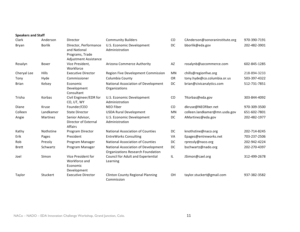| <b>Speakers and Staff</b> |               |                                                                                          |                                                                                 |           |                                |              |
|---------------------------|---------------|------------------------------------------------------------------------------------------|---------------------------------------------------------------------------------|-----------|--------------------------------|--------------|
| Clark                     | Anderson      | Director                                                                                 | <b>Community Builders</b>                                                       | CO        | CAnderson@sonoraninstitute.org | 970-390-7191 |
| Bryan                     | <b>Borlik</b> | Director, Performance<br>and National<br>Programs, Trade<br><b>Adjustment Assistance</b> | U.S. Economic Development<br>Administration                                     | DC        | bborlik@eda.gov                | 202-482-3901 |
| Rosalyn                   | Boxer         | Vice President,<br>Workforce                                                             | Arizona Commerce Authority                                                      | AZ        | rosalynb@azcommerce.com        | 602-845-1285 |
| Cheryal Lee               | Hills         | <b>Executive Director</b>                                                                | Region Five Development Commission                                              | MN        | chills@regionfive.org          | 218-894-3233 |
| Tony                      | Hyde          | Commissioner                                                                             | Columbia County                                                                 | <b>OR</b> | tony.hyde@co.columbia.or.us    | 503-397-4322 |
| <b>Brian</b>              | Kelsey        | Economic<br>Development<br>Consultant                                                    | National Association of Development<br>Organizations                            | <b>DC</b> | brian@civicanalytics.com       | 512-731-7851 |
| Trisha                    | Korbas        | Civil Engineer/EDR for<br>CO, UT, WY                                                     | U.S. Economic Development<br>Administration                                     | CO        | TKorbas@eda.gov                | 303-844-4092 |
| Diane                     | Kruse         | Founder/CEO                                                                              | NEO Fiber                                                                       | <b>CO</b> | dkruse@NEOfiber.net            | 970-309-3500 |
| Colleen                   | Landkamer     | <b>State Director</b>                                                                    | <b>USDA Rural Development</b>                                                   | <b>MN</b> | colleen.landkamer@mn.usda.gov  | 651-602-7801 |
| Angie                     | Martinez      | Senior Advisor,<br>Director of External<br><b>Affairs</b>                                | U.S. Economic Development<br>Administration                                     | <b>DC</b> | AMartinez@eda.gov              | 202-482-1977 |
| Kathy                     | Nothstine     | Program Director                                                                         | <b>National Association of Counties</b>                                         | DC        | knothstine@naco.org            | 202-714-8245 |
| Erik                      | Pages         | President                                                                                | <b>EntreWorks Consulting</b>                                                    | VA        | Epages@entreworks.net          | 703-237-2506 |
| Rob                       | Pressly       | Program Manager                                                                          | <b>National Association of Counties</b>                                         | DC        | rpressly@naco.org              | 202-942-4224 |
| <b>Brett</b>              | Schwartz      | Program Manager                                                                          | National Association of Development<br><b>Organizations Research Foundation</b> | DC        | bschwartz@nado.org             | 202-270-4397 |
| Joel                      | Simon         | Vice President for<br>Workforce and<br>Economic<br>Development                           | Council for Adult and Experiential<br>Learning                                  | IL.       | JSimon@cael.org                | 312-499-2678 |
| Taylor                    | Stuckert      | <b>Executive Director</b>                                                                | <b>Clinton County Regional Planning</b><br>Commission                           | OH        | taylor.stuckert@gmail.com      | 937-382-3582 |